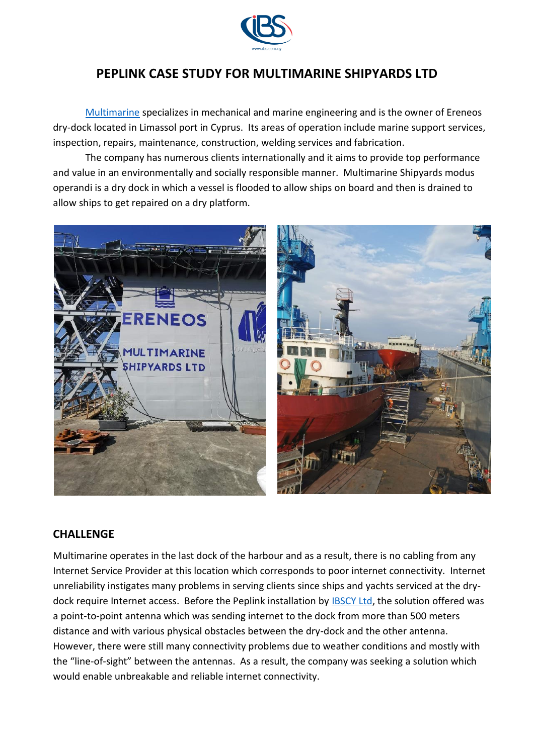

# **PEPLINK CASE STUDY FOR MULTIMARINE SHIPYARDS LTD**

[Multimarine](https://www.multimarine.com.cy/en/) specializes in mechanical and marine engineering and is the owner of Ereneos dry-dock located in Limassol port in Cyprus. Its areas of operation include marine support services, inspection, repairs, maintenance, construction, welding services and fabrication.

The company has numerous clients internationally and it aims to provide top performance and value in an environmentally and socially responsible manner. Multimarine Shipyards modus operandi is a dry dock in which a vessel is flooded to allow ships on board and then is drained to allow ships to get repaired on a dry platform.



### **CHALLENGE**

Multimarine operates in the last dock of the harbour and as a result, there is no cabling from any Internet Service Provider at this location which corresponds to poor internet connectivity. Internet unreliability instigates many problems in serving clients since ships and yachts serviced at the drydock require Internet access. Before the Peplink installation by **IBSCY Ltd**, the solution offered was a point-to-point antenna which was sending internet to the dock from more than 500 meters distance and with various physical obstacles between the dry-dock and the other antenna. However, there were still many connectivity problems due to weather conditions and mostly with the "line-of-sight" between the antennas. As a result, the company was seeking a solution which would enable unbreakable and reliable internet connectivity.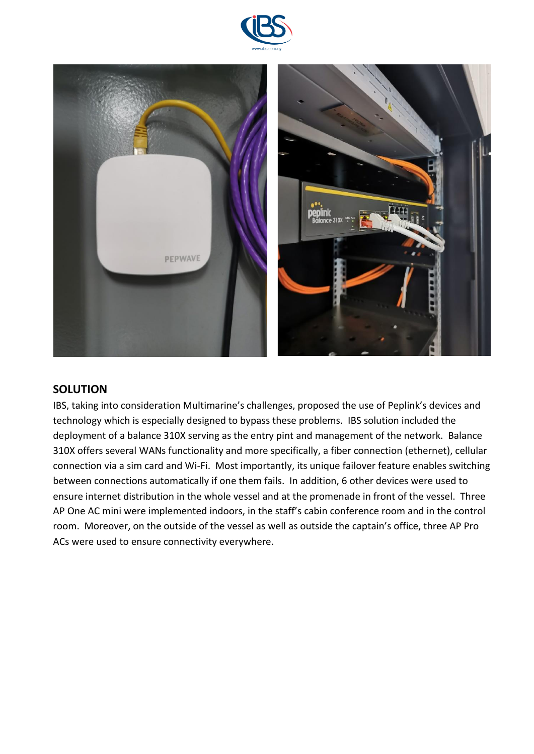



#### **SOLUTION**

IBS, taking into consideration Multimarine's challenges, proposed the use of Peplink's devices and technology which is especially designed to bypass these problems. IBS solution included the deployment of a balance 310X serving as the entry pint and management of the network. Balance 310X offers several WANs functionality and more specifically, a fiber connection (ethernet), cellular connection via a sim card and Wi-Fi. Most importantly, its unique failover feature enables switching between connections automatically if one them fails. In addition, 6 other devices were used to ensure internet distribution in the whole vessel and at the promenade in front of the vessel. Three AP One AC mini were implemented indoors, in the staff's cabin conference room and in the control room. Moreover, on the outside of the vessel as well as outside the captain's office, three AP Pro ACs were used to ensure connectivity everywhere.